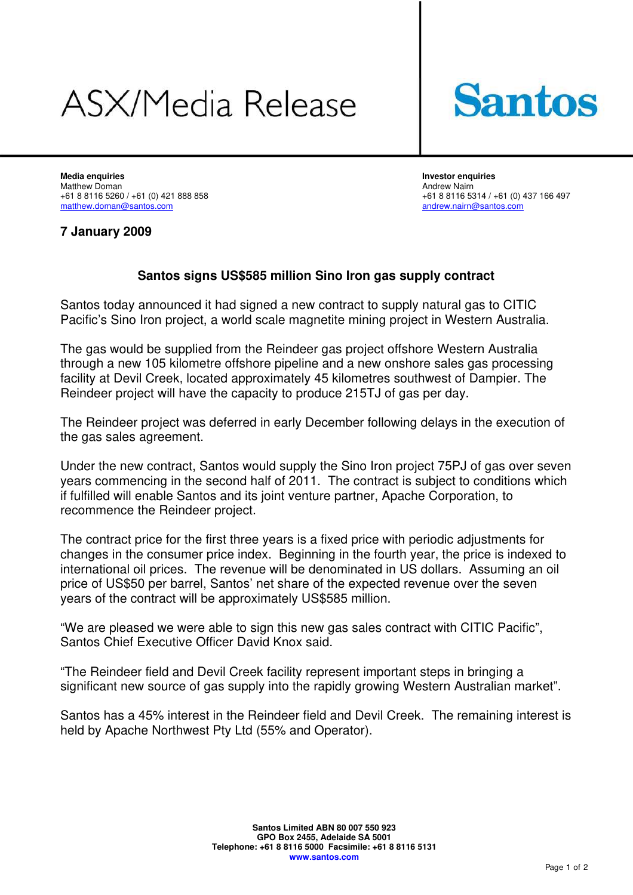# **ASX/Media Release**



**Media enquiries Investor enquiries**  Matthew Doman Andrew Nairn +61 8 8116 5260 / +61 (0) 421 888 858<br>
matthew.doman@santos.com<br>
andrew.nairn@santos.com

[andrew.nairn@santos.com](mailto:andrew.nairn@santos.com)

## **7 January 2009**

## **Santos signs US\$585 million Sino Iron gas supply contract**

Santos today announced it had signed a new contract to supply natural gas to CITIC Pacific's Sino Iron project, a world scale magnetite mining project in Western Australia.

The gas would be supplied from the Reindeer gas project offshore Western Australia through a new 105 kilometre offshore pipeline and a new onshore sales gas processing facility at Devil Creek, located approximately 45 kilometres southwest of Dampier. The Reindeer project will have the capacity to produce 215TJ of gas per day.

The Reindeer project was deferred in early December following delays in the execution of the gas sales agreement.

Under the new contract, Santos would supply the Sino Iron project 75PJ of gas over seven years commencing in the second half of 2011. The contract is subject to conditions which if fulfilled will enable Santos and its joint venture partner, Apache Corporation, to recommence the Reindeer project.

The contract price for the first three years is a fixed price with periodic adjustments for changes in the consumer price index. Beginning in the fourth year, the price is indexed to international oil prices. The revenue will be denominated in US dollars. Assuming an oil price of US\$50 per barrel, Santos' net share of the expected revenue over the seven years of the contract will be approximately US\$585 million.

"We are pleased we were able to sign this new gas sales contract with CITIC Pacific", Santos Chief Executive Officer David Knox said.

"The Reindeer field and Devil Creek facility represent important steps in bringing a significant new source of gas supply into the rapidly growing Western Australian market".

Santos has a 45% interest in the Reindeer field and Devil Creek. The remaining interest is held by Apache Northwest Pty Ltd (55% and Operator).